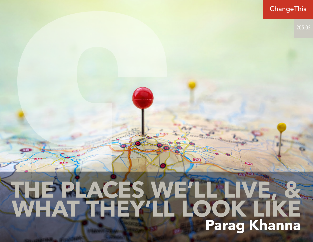# **ChangeThis** 94 **THE PLACES WE'LL LIVE, & WHAT THEY'LL LOOK LIKE Parag Khanna**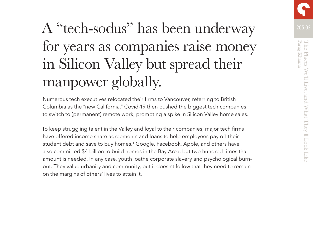# A "tech-sodus" has been underway 205.02 for years as companies raise money in Silicon Valley but spread their manpower globally.

Numerous tech executives relocated their firms to Vancouver, referring to British Columbia as the "new California." Covid-19 then pushed the biggest tech companies to switch to (permanent) remote work, prompting a spike in Silicon Valley home sales.

To keep struggling talent in the Valley and loyal to their companies, major tech firms have offered income share agreements and loans to help employees pay off their student debt and save to buy homes.<sup>1</sup> Google, Facebook, Apple, and others have also committed \$4 billion to build homes in the Bay Area, but two hundred times that amount is needed. In any case, youth loathe corporate slavery and psychological burnout. They value urbanity and community, but it doesn't follow that they need to remain on the margins of others' lives to attain it.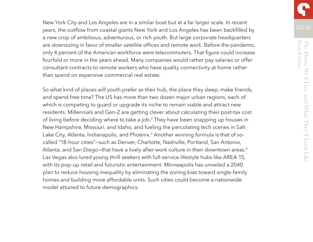New York City and Los Angeles are in a similar boat but at a far larger scale. In recent years, the outflow from coastal giants New York and Los Angeles has been backfilled by a new crop of ambitious, adventurous, or rich youth. But large corporate headquarters are downsizing in favor of smaller satellite offices and remote work. Before the pandemic, only 4 percent of the American workforce were telecommuters. That figure could increase fourfold or more in the years ahead. Many companies would rather pay salaries or offer consultant contracts to remote workers who have quality connectivity at home rather than spend on expensive commercial real estate.

So what kind of places will youth prefer as their hub, the place they sleep, make friends, and spend free time? The US has more than two dozen major urban regions, each of which is competing to quard or upgrade its niche to remain viable and attract new residents. Millennials and Gen-Z are getting clever about calculating their post-tax cost of living before deciding where to take a job.2 They have been snapping up houses in New Hampshire, Missouri, and Idaho, and fueling the percolating tech scenes in Salt Lake City, Atlanta, Indianapolis, and Phoenix.<sup>3</sup> Another winning formula is that of socalled "18-hour cities"—such as Denver, Charlotte, Nashville, Portland, San Antonio, Atlanta, and San Diego-that have a lively after-work culture in their downtown areas.<sup>4</sup> Las Vegas also lured young thrill seekers with full-service lifestyle hubs like AREA 15, with its pop-up retail and futuristic entertainment. Minneapolis has unveiled a 2040 plan to reduce housing inequality by eliminating the zoning bias toward single-family homes and building more affordable units. Such cities could become a nationwide model attuned to future demographics.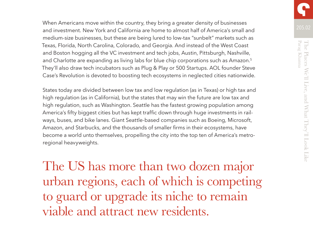205.02 When Americans move within the country, they bring a greater density of businesses and investment. New York and California are home to almost half of America's small and medium-size businesses, but these are being lured to low-tax "sunbelt" markets such as Texas, Florida, North Carolina, Colorado, and Georgia. And instead of the West Coast and Boston hogging all the VC investment and tech jobs, Austin, Pittsburgh, Nashville, and Charlotte are expanding as living labs for blue chip corporations such as Amazon.<sup>5</sup> They'll also draw tech incubators such as Plug & Play or 500 Startups. AOL founder Steve Case's Revolution is devoted to boosting tech ecosystems in neglected cities nationwide.

States today are divided between low tax and low regulation (as in Texas) or high tax and high regulation (as in California), but the states that may win the future are low tax and high regulation, such as Washington. Seattle has the fastest growing population among America's fifty biggest cities but has kept traffic down through huge investments in railways, buses, and bike lanes. Giant Seattle-based companies such as Boeing, Microsoft, Amazon, and Starbucks, and the thousands of smaller firms in their ecosystems, have become a world unto themselves, propelling the city into the top ten of America's metroregional heavyweights.

The US has more than two dozen major urban regions, each of which is competing to guard or upgrade its niche to remain viable and attract new residents.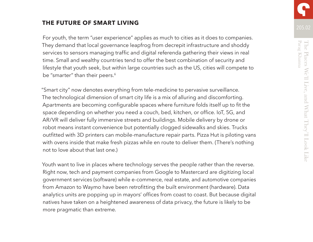# **THE FUTURE OF SMART LIVING**

For youth, the term "user experience" applies as much to cities as it does to companies. They demand that local governance leapfrog from decrepit infrastructure and shoddy services to sensors managing traffic and digital referenda gathering their views in real time. Small and wealthy countries tend to offer the best combination of security and lifestyle that youth seek, but within large countries such as the US, cities will compete to be "smarter" than their peers.<sup>6</sup>

"Smart city" now denotes everything from tele-medicine to pervasive surveillance. The technological dimension of smart city life is a mix of alluring and discomforting. Apartments are becoming configurable spaces where furniture folds itself up to fit the space depending on whether you need a couch, bed, kitchen, or office. IoT, 5G, and AR/VR will deliver fully immersive streets and buildings. Mobile delivery by drone or robot means instant convenience but potentially clogged sidewalks and skies. Trucks outfitted with 3D printers can mobile-manufacture repair parts. Pizza Hut is piloting vans with ovens inside that make fresh pizzas while en route to deliver them. (There's nothing not to love about that last one.)

Youth want to live in places where technology serves the people rather than the reverse. Right now, tech and payment companies from Google to Mastercard are digitizing local government services (software) while e-commerce, real estate, and automotive companies from Amazon to Waymo have been retrofitting the built environment (hardware). Data analytics units are popping up in mayors' offices from coast to coast. But because digital natives have taken on a heightened awareness of data privacy, the future is likely to be more pragmatic than extreme.

205.02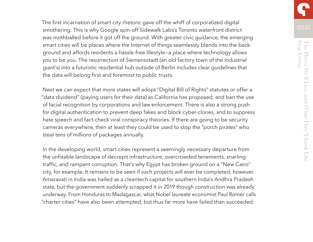The first incarnation of smart city rhetoric gave off the whiff of corporatized digital smothering. This is why Google spin-off Sidewalk Labs's Toronto waterfront district was mothballed before it got off the ground. With greater civic guidance, the emerging smart cities will be places where the Internet of things seamlessly blends into the background and affords residents a hassle-free lifestyle—a place where technology allows you to be you. The resurrection of Siemensstadt (an old factory town of the industrial giant's) into a futuristic residential hub outside of Berlin includes clear guidelines that the data will belong first and foremost to public trusts.

Next we can expect that more states will adopt "Digital Bill of Rights" statutes or offer a "data dividend" (paying users for their data) as California has proposed, and ban the use of facial recognition by corporations and law enforcement. There is also a strong push for digital authentication to prevent deep fakes and block cyber-clones, and to suppress hate speech and fact-check viral conspiracy theories. If there are going to be security cameras everywhere, then at least they could be used to stop the "porch pirates" who steal tens of millions of packages annually.

In the developing world, smart cities represent a seemingly necessary departure from the unfixable landscape of decrepit infrastructure, overcrowded tenements, snarling traffic, and rampant corruption. That's why Egypt has broken ground on a "New Cairo" city, for example. It remains to be seen if such projects will ever be completed, however. Amaravati in India was hailed as a cleantech capital for southern India's Andhra Pradesh state, but the government suddenly scrapped it in 2019 though construction was already underway. From Honduras to Madagascar, what Nobel laureate economist Paul Romer calls "charter cities" have also been attempted, but thus far more have failed than succeeded.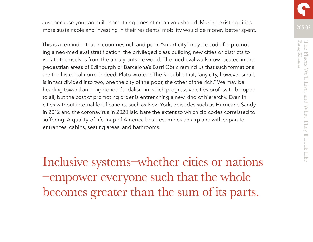Just because you can build something doesn't mean you should. Making existing cities more sustainable and investing in their residents' mobility would be money better spent.

This is a reminder that in countries rich and poor, "smart city" may be code for promoting a neo-medieval stratification: the privileged class building new cities or districts to isolate themselves from the unruly outside world. The medieval walls now located in the pedestrian areas of Edinburgh or Barcelona's Barri Gòtic remind us that such formations are the historical norm. Indeed, Plato wrote in The Republic that, "any city, however small, is in fact divided into two, one the city of the poor, the other of the rich." We may be heading toward an enlightened feudalism in which progressive cities profess to be open to all, but the cost of promoting order is entrenching a new kind of hierarchy. Even in cities without internal fortifications, such as New York, episodes such as Hurricane Sandy in 2012 and the coronavirus in 2020 laid bare the extent to which zip codes correlated to suffering. A quality-of-life map of America best resembles an airplane with separate entrances, cabins, seating areas, and bathrooms.

Inclusive systems–whether cities or nations –empower everyone such that the whole becomes greater than the sum of its parts.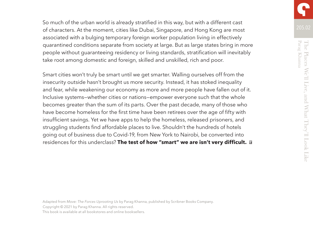So much of the urban world is already stratified in this way, but with a different cast of characters. At the moment, cities like Dubai, Singapore, and Hong Kong are most associated with a bulging temporary foreign worker population living in effectively quarantined conditions separate from society at large. But as large states bring in more people without guaranteeing residency or living standards, stratification will inevitably take root among domestic and foreign, skilled and unskilled, rich and poor.

Smart cities won't truly be smart until we get smarter. Walling ourselves off from the insecurity outside hasn't brought us more security. Instead, it has stoked inequality and fear, while weakening our economy as more and more people have fallen out of it. Inclusive systems—whether cities or nations—empower everyone such that the whole becomes greater than the sum of its parts. Over the past decade, many of those who have become homeless for the first time have been retirees over the age of fifty with insufficient savings. Yet we have apps to help the homeless, released prisoners, and struggling students find affordable places to live. Shouldn't the hundreds of hotels going out of business due to Covid-19, from New York to Nairobi, be converted into residences for this underclass? **The test of how "smart" we are isn't very difficult.** 

Adapted from *Move: The Forces Uprooting Us* by Parag Khanna, published by Scribner Books Company. Copyright © 2021 by Parag Khanna. All rights reserved. This book is available at all bookstores and online booksellers.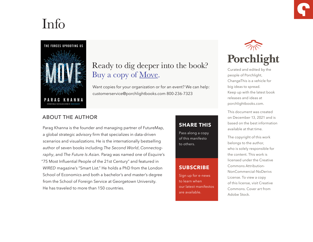# Info



# Ready to dig deeper into the book? Buy a copy of <u>Move</u>.

Want copies for your organization or for an event? We can help: customerservice@porchlightbooks.com 800-236-7323

## ABOUT THE AUTHOR

Parag Khanna is the founder and managing partner of FutureMap, a global strategic advisory firm that specializes in data-driven scenarios and visualizations. He is the internationally bestselling author of seven books including *The Second World*, *Connectography*, and *The Future Is Asian.* Parag was named one of *Esquire*'s "75 Most Influential People of the 21st Century" and featured in *WIRED* magazine's "Smart List." He holds a PhD from the London School of Economics and both a bachelor's and master's degree from the School of Foreign Service at Georgetown University. He has traveled to more than 150 countries.

## **[SHARE THIS](https://www.porchlightbooks.com/blog/changethis/2021/the-great-disconnect)**

Pass along a copy of this manifesto to others.

### **SUBSCRIBE**

Sign up for e-news to learn when our latest manifestos are available.



Curated and edited by the people of Porchlight, ChangeThis is a vehicle for big ideas to spread. Keep up with the latest book releases and ideas at porchlightbooks.com.

This document was created on December 13, 2021 and is based on the best information available at that time.

The copyright of this work belongs to the author, who is solely responsible for the content. This work is licensed under the Creative Commons Attribution-NonCommercial-NoDerivs License. To view a copy of this license, visit Creative Commons. Cover art from Adobe Stock.